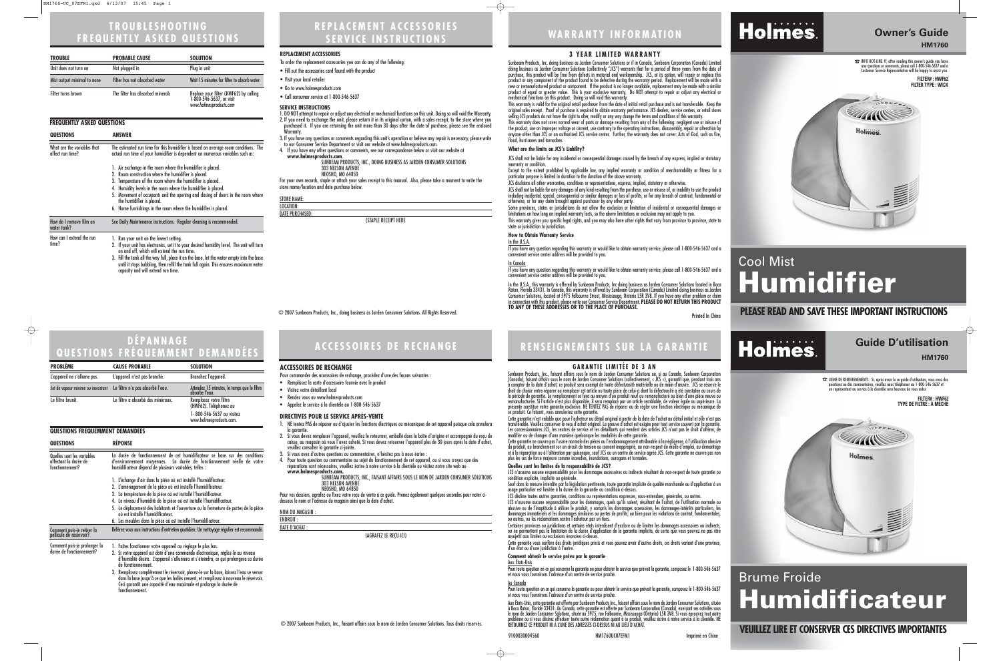# **WARRANTY INFORMATION**

## **Owner's Guide HM1760**

☎INFO HOT-LINE: If, after reading this owner's guide you have any questions or comments, please call 1-800-546-5637 and a Customer Service Representative will be happy to assist you. **FILTER# : HWF62 FILTER TYPE : WICK**



# Cool Mist **Humidifier**

## $\odot$  2007 Sunbeam Products, Inc., doing business as Jarden Consumer Solutions. All Rights Reserved. **PLEASE READ AND SAVE THESE IMPORTANT INSTRUCTIONS**



## **REPLACEMENT ACCESSORIES SERVICE INSTRUCTIONS**

#### **SERVICE INSTRUCTIONS**

1. DO NOT attempt to repair or adjust any electrical or mechanical functions on this unit. Doing so will void the Warranty. 2. If you need to exchange the unit, please return it in its original carton, with a sales receipt, to the store where you purchased it. If you are returning the unit more than 30 days after the date of purchase, please see the enclosed Warranty.

3. If you have any questions or comments regarding this unit's operation or believe any repair is necessary, please write to our Consumer Service Department or visit our website at www.holmesproducts.com.

4. If you have any other questions or comments, see our correspondence below or visit our website at **www.holmesproducts.com**.

SUNBEAM PRODUCTS, INC., DOING BUSINESS AS JARDEN CONSUMER SOLUTIONS 303 NELSON AVENUE NEOSHO, MO 64850

For your own records, staple or attach your sales receipt to this manual. Also, please take a moment to write the store name/location and date purchase below.

STORE NAME: LOCATION: DATE PURCHASED:

(STAPLE RECEIPT HERE

www.holmesproducts. Inc., FAISANT AFFAIRS SOUS LE NOM DE JARDEN CONSUMER SOLUTIONS 303 NELSON AVENUE

| <b>TROUBLE</b>              | <b>PROBABLE CAUSE</b>            | <b>SOLUTION</b>                                                                              |
|-----------------------------|----------------------------------|----------------------------------------------------------------------------------------------|
| Unit does not turn on       | Not plugged in                   | Plug in unit                                                                                 |
| Mist output minimal to none | Filter has not absorbed water    | Wait 15 minutes for filter to absorb water                                                   |
| Filter turns brown          | The filter has absorbed minerals | Replace your filter (HWF62) by calling<br>1-800-546-5637, or visit<br>www.holmesproducts.com |

**ENDROIT** DATE D'ACHAT :

#### **REPLACEMENT ACCESSORIES**

- To order the replacement accessories you can do any of the following:
- Fill out the accessories card found with the product
- Visit your local retailer
- Go to www.holmesproducts.com
- Call consumer service at 1-800-546-5637

# **TROUBLESHOOTING FREQUENTLY ASKED QUESTIONS**

#### **FREQUENTLY ASKED QUESTIONS**

# Holmes.

# **ACCESSOIRES DE RECHANGE RENSEIGNEMENTS SUR LA GARANTIE**

#### **DIRECTIVES POUR LE SERVICE APRÈS-VENTE**

- 1. NE tentez PAS de réparer ou d'ajuster les fonctions électriques ou mécaniques de cet appareil puisque cela annulera<br>la garantie.
- 2. Si vous devez remplacer l'appareil, veuillez le retourner, emballé dans la boîte d'origine et accompagné du reçu de caisse, au magasin où vous l'avez acheté. Si vous devez retourner l'appareil plus de 30 jours après la date d'achat,
- veuillez consulter la garantie ci-jointe. 3. Si vous avez d'autres questions ou commentaires, n'hésitez pas à nous écrire :
- 4. Pour toute question ou commentaire au sujet du fonctionnement de cet appareil, ou si vous croyez que des réparations sont nécessaires, veuillez écrire à notre service à la clientèle ou visitez notre site web au<br>www.holmesproducts.com.

Cette garantie n'est valable que pour l'acheteur au détail original à partir de la date de l'achat au détail initial et elle n'est pas<br>transférable. Veuillez conserver le reçu d'achat original. La preuve d'achat est exigée Les concessionnaires JCS, les centres de service et les détaillants qui vendent des articles JCS n'ont pas le droit d'altérer, de modifier ou de changer d'une manière quelconque les modalités de cette garantie.

JCS n'assume aucune responsabilité pour les dommages accessoires ou indirects résultant du non-respect de toute garantie ou condition explicite, implicite ou générale.

Sauf dans la mesure interdite par la législation pertinente, toute garantie implicite de qualité marchande ou d'application à un usage particulier est limitée à la durée de la garantie ou condition ci-dessus.

NEOSHO, MO 64850 Pour vos dossiers, agrafez ou fixez votre reçu de vente à ce guide. Prenez également quelques secondes pour noter cidessous le nom et l'adresse du magasin ainsi que la date d'achat.

NOM DU MAGASIN :

(AGRAFEZ LE REÇU ICI)

## **VEUILLEZ LIRE ET CONSERVER CES DIRECTIVES IMPORTANTES**

# **Guide D'utilisation**

**HM1760**

☎ LIGNE DE RENSEIGNEMENTS : Si, après avoir lu ce guide d'utilisation, vous avez des questions ou des commentaires, veuillez nous téléphoner au 1-800-546-5637 et un représentant au service à la clientèle sera heureux de vous aider.

ou autres, ou les réclamations contre l'acheteur par un tiers.<br>Certaines provinces ou juridictions et certains états interdisent d'exclure ou de limiter les dommages accessoires ou indirects, ou ne permettent pas la limitation de la durée d'application de la garantie implicite, de sorte que vous pouvez ne pas être assujetti aux limites ou exclusions énoncées ci-dessus.

Cette garantie vous confère des droits juridiques précis et vous pouvez avoir d'autres droits, ces droits variant d'une province,<br>d'un état ou d'une iuridiction à l'autre.

# Brume Froide **Humidificateur**

**FILTER# : HWF62 TYPE DE FILTRE : À MÈCHE**



#### **ACCESSOIRES DE RECHANGE**

Pour commander des accessoires de rechange, procédez d'une des façons suivantes :

Aux États-Unis, cette garantie est offerte par Sunbeam Products Inc., faisant affairs sous le nom de Jarden Consumer Solutions, située à Boca Raton, Floride 33431. Au Canada, cette garantie est offerte par Sunbeam Corporation (Canada), exerçant ses activités sous le nom de Jarden Consumer Solutions, située au 5975, rue Falbourne, Mississauga (Ontario) L5R 3V8. Si vous éprouvez tout autre COLOR SUITE BY DESCRIPTION OF THE PRODUIT NI A LUNE DES ARESSES CI-DESSUS IN A LUNE OF FOREST WARD THE PRODUIT<br>COLOR SUITE DESCRIPTION OF THE PRODUIT NI A LUNE DES ADRESSES CI-DESSUS NI AU LIEU D'ACHAT. WHE RETOUR ALUNE A

- Remplissez la carte d'accessoire fournie avec le produit
- Visitez votre détaillant local
- Rendez vous au www.holmesproducts.com
- Appelez le service à la clientèle au 1-800-546-5637

# **DÉPANNAGE QUESTIONS FRÉQUEMMENT DEMANDÉES**

#### **GARANTIE LIMITÉE DE 3 AN**

Sunbeam Products, Inc., faisant affairs sous le nom de Jarden Consumer Solutions ou, si au Canada, Sunbeam Corporation (Canada), faisant affairs sous le nom de Jarden Consumer Solutions (collectivement, « JCS »), garantit que, pendant trois ans à compter de la date d'achat, ce produit sera exempt de toute défectuosité matérielle ou de main-d'œuvre. JCS se réserve le droit de choisir entre réparer ou remplacer cet article ou toute pièce de celui-ci dont la défectuosité a été constatée au cours de la période de garantie. Le remplacement se fera au moyen d'un produit neuf ou remanufacturé ou bien d'une pièce neuve ou remanufacturée. Si l'article n'est plus disponible, il sera remplacé par un article semblable, de valeur égale ou supérieure. La présente constitue votre garantie exclusive. NE TENTEZ PAS de réparer ou de régler une fonction électrique ou mécanique de ce produit. Ce faisant, vous annuleriez cette garantie.

Cette garantie ne couvre pas l'usure normale des pièces ou l'endommagement attribuable à la négligence, à l'utilisation abusive du produit, au branchement sur un circuit de tension ou courant inapproprié, au non-respect du mode d'emploi, au démontage et à la réparation ou à l'altération par quiconque, sauf JCS ou un centre de service agréé JCS. Cette garantie ne couvre pas non plus les cas de force majeure comme incendies, inondations, ouragans et tornades.

Sunbeam Products, Inc. doing business as Jarden Consumer Solutions or if in Canada, Sunbeam Corporation (Canada) Limited doing business as Jarden Consumer Solutions (collectively "JCS") warrants that for a period of three years from the date of purchase, this product will be free from defects in material and workmanship. JCS, at its option, will repair or replace this product or any component of the product found to be defective during the warranty period. Replacement will be made with a new or remanufactured product or component. If the product is no longer available, replacement may be made with a similar product of equal or greater value. This is your exclusive warranty. Do NOT attempt to repair or adjust any electrical or mechanical functions on this product. Doing so will void this warranty.

#### **Quelles sont les limites de la responsabilité de JCS?**

JCS décline toutes autres garanties, conditions ou représentations expresses, sous-entendues, générales, ou autres.

JCS n'assume aucune responsabilité pour les dommages, quels qu'ils soient, résultant de l'achat, de l'utilisation normale ou abusive ou de l'inaptitude à utiliser le produit, y compris les dommages accessoires, les dommages-intérêts particuliers, les dommages immatériels et les dommages similaires ou pertes de profits; ou bien pour les violations de contrat, fondamentales,

Some provinces, states or jurisdictions do not allow the exclusion or limitation of incidental or consequential damages or<br>limitations on how long an implied warranty lasts, so the above limitations or exclusion may not ap limitations on how long an implied warranty lasts, so the above limitations or exclusion may not apply to you.

#### **Comment obtenir le service prévu par la garantie**

Aux États-Unis

Pour toute question en ce qui concerne la garantie ou pour obtenir le service que prévoit la garantie, composez le 1-800-546-5637 et nous vous fournirons l'adresse d'un centre de service proche.

Au Canada

Pour toute question en ce qui concerne la garantie ou pour obtenir le service que prévoit la garantie, composez le 1-800-546-5637 et nous vous fournirons l'adresse d'un centre de service proche.

| <b>QUESTIONS</b>                                | ANSWER                                                                                                                                                                                                                                                                                                                                                                                                                                 |  |
|-------------------------------------------------|----------------------------------------------------------------------------------------------------------------------------------------------------------------------------------------------------------------------------------------------------------------------------------------------------------------------------------------------------------------------------------------------------------------------------------------|--|
| What are the variables that<br>affect run time? | The estimated run time for this humidifier is based on average room conditions. The<br>actual run time of your humidifier is dependent on numerous variables such as:                                                                                                                                                                                                                                                                  |  |
|                                                 | 1. Air exchange in the room where the humidifier is placed.<br>2. Room construction where the humidifier is placed.<br>3. Temperature of the room where the humidifier is placed.<br>4. Humidity levels in the room where the humidifier is placed.<br>5. Movement of occupants and the opening and closing of doors in the room where<br>the humidifier is placed.<br>6. Home furnishings in the room where the humidifier is placed. |  |
| How do I remove film on<br>water tank?          | See Daily Maintenance instructions. Regular cleaning is recommended.                                                                                                                                                                                                                                                                                                                                                                   |  |
| How can I extend the run<br>time?               | 1. Run your unit on the lowest setting.<br>2. If your unit has electronics, set it to your desired humidity level. The unit will turn<br>on and off, which will extend the run time.<br>3. Fill the tank all the way full, place it on the base, let the water empty into the base                                                                                                                                                     |  |

until it stops bubbling, then refill the tank full again. This ensures maximum water capacity and will extend run time.

| <b>PROBLEME</b>                                                          | <b>CAUSE PROBABLE</b>                                                                                                                                                                                                                                                                                                                                                                                                       | <b>SOLUTION</b>                                               |  |  |
|--------------------------------------------------------------------------|-----------------------------------------------------------------------------------------------------------------------------------------------------------------------------------------------------------------------------------------------------------------------------------------------------------------------------------------------------------------------------------------------------------------------------|---------------------------------------------------------------|--|--|
| L'appareil ne s'allume pas.                                              | L'appareil n'est pas branché.                                                                                                                                                                                                                                                                                                                                                                                               | Branchez l'appareil.                                          |  |  |
| Jet de vapeur minime ou inexistant                                       | Le filtre n'a pas absorbé l'eau.                                                                                                                                                                                                                                                                                                                                                                                            | Attendez 15 minutes, le temps que le filtre<br>absorbe l'eau. |  |  |
| Le filtre brunit.                                                        | Le filtre a absorbé des minéraux.                                                                                                                                                                                                                                                                                                                                                                                           | Remplacez votre filtre<br>(HWF62). Téléphonez au              |  |  |
|                                                                          |                                                                                                                                                                                                                                                                                                                                                                                                                             | 1-800-546-5637 ou visitez<br>www.holmesproducts.com.          |  |  |
| <b>QUESTIONS FRÉQUEMMENT DEMANDÉES</b>                                   |                                                                                                                                                                                                                                                                                                                                                                                                                             |                                                               |  |  |
| <b>QUESTIONS</b>                                                         | <b>REPONSE</b>                                                                                                                                                                                                                                                                                                                                                                                                              |                                                               |  |  |
| Quelles sont les variables<br>affectant la durée de<br>fonctionnement?   | La durée de fonctionnement de cet humidificateur se base sur des conditions<br>d'environnement moyennes. La durée de fonctionnement réelle de votre<br>humidificateur dépend de plusieurs variables, telles :<br>1. L'échange d'air dans la pièce où est installé l'humidificateur.<br>2. L'aménagement de la pièce où est installé l'humidificateur.<br>La température de la pièce où est installé l'humidificateur.<br>3. |                                                               |  |  |
|                                                                          |                                                                                                                                                                                                                                                                                                                                                                                                                             |                                                               |  |  |
|                                                                          |                                                                                                                                                                                                                                                                                                                                                                                                                             |                                                               |  |  |
|                                                                          |                                                                                                                                                                                                                                                                                                                                                                                                                             |                                                               |  |  |
| Le niveau d'humidité de la pièce où est installé l'humidificateur.<br>4. |                                                                                                                                                                                                                                                                                                                                                                                                                             |                                                               |  |  |
|                                                                          | 5. Le déplacement des habitants et l'ouverture ou la fermeture de portes de la pièce<br>où est installé l'humidificateur.                                                                                                                                                                                                                                                                                                   |                                                               |  |  |
|                                                                          | 6. Les meubles dans la pièce où est installé l'humidificateur.                                                                                                                                                                                                                                                                                                                                                              |                                                               |  |  |
| Comment puis-je retirer la                                               | Référez-vous aux instructions d'entretien quotidien. Un nettoyage régulier est recommandé.                                                                                                                                                                                                                                                                                                                                  |                                                               |  |  |

1. Faites fonctionner votre appareil au réglage le plus bas. 2. Si votre appareil est doté d'une commande électronique, réglez-le au niveau d'humidité désiré. L'appareil s'allumera et s'éteindra, ce qui prolongera sa durée de fonctionnement. 3. Remplissez complètement le réservoir, placez-le sur la base, laissez l'eau se verser dans la base jusqu'à ce que les bulles cessent, et remplissez à nouveau le réservoir. Ceci garantit une capacité d'eau maximale et prolonge la durée de pellicule du réservoir? Comment puis-je prolonger la durée de fonctionnement?

fonctionnement.

#### **3 YEAR LIMITED WARRANTY**

This warranty is valid for the original retail purchaser from the date of initial retail purchase and is not transferable. Keep the original sales receipt. Proof of purchase is required to obtain warranty performance. JCS dealers, service centers, or retail stores selling JCS products do not have the right to alter, modify or any way change the terms and conditions of this warranty.

This warranty does not cover normal wear of parts or damage resulting from any of the following: negligent use or misuse of the product, use on improper voltage or current, use contrary to the operating instructions, disassembly, repair or alteration by anyone other than JCS or an authorized JCS service center. Further, the warranty does not cover: Acts of God, such as fire, flood, hurricanes and tornadoes.

#### **What are the limits on JCS's Liability?**

JCS shall not be liable for any incidental or consequential damages caused by the breach of any express, implied or statutory warranty or condition.

Except to the extent prohibited by applicable law, any implied warranty or condition of merchantability or fitness for a particular purpose is limited in duration to the duration of the above warranty.

JCS disclaims all other warranties, conditions or representations, express, implied, statutory or otherwise.

JCS shall not be liable for any damages of any kind resulting from the purchase, use or misuse of, or inability to use the product including incidental, special, consequential or similar damages or loss of profits, or for any breach of contract, fundamental or otherwise, or for any claim brought against purchaser by any other party.

This warranty gives you specific legal rights, and you may also have other rights that vary from province to province, state to state or jurisdiction to jurisdiction.

#### **How to Obtain Warranty Service**

In the U.S.A. If you have any question regarding this warranty or would like to obtain warranty service, please call 1-800-546-5637 and a convenient service center address will be provided to you.

#### <u>In Canada</u>

If you have any question regarding this warranty or would like to obtain warranty service, please call 1-800-546-5637 and a convenient service center address will be provided to you.

In the U.S.A., this warranty is offered by Sunbeam Products, Inc doing business as Jarden Consumer Solutions located in Boca Raton, Florida 33431. In Canada, this warranty is offered by Sunbeam Corporation (Canada) Limited doing business as Jarden Consumer Solutions, located at 5975 Falbourne Street, Mississauga, Ontario L5R 3V8. If you have any other problem or claim in connection with this product, please write our Consumer Service Department. **PLEASE DO NOT RETURN THIS PRODUCT TO ANY OF THESE ADDRESSES OR TO THE PLACE OF PURCHASE.** 

Printed In China